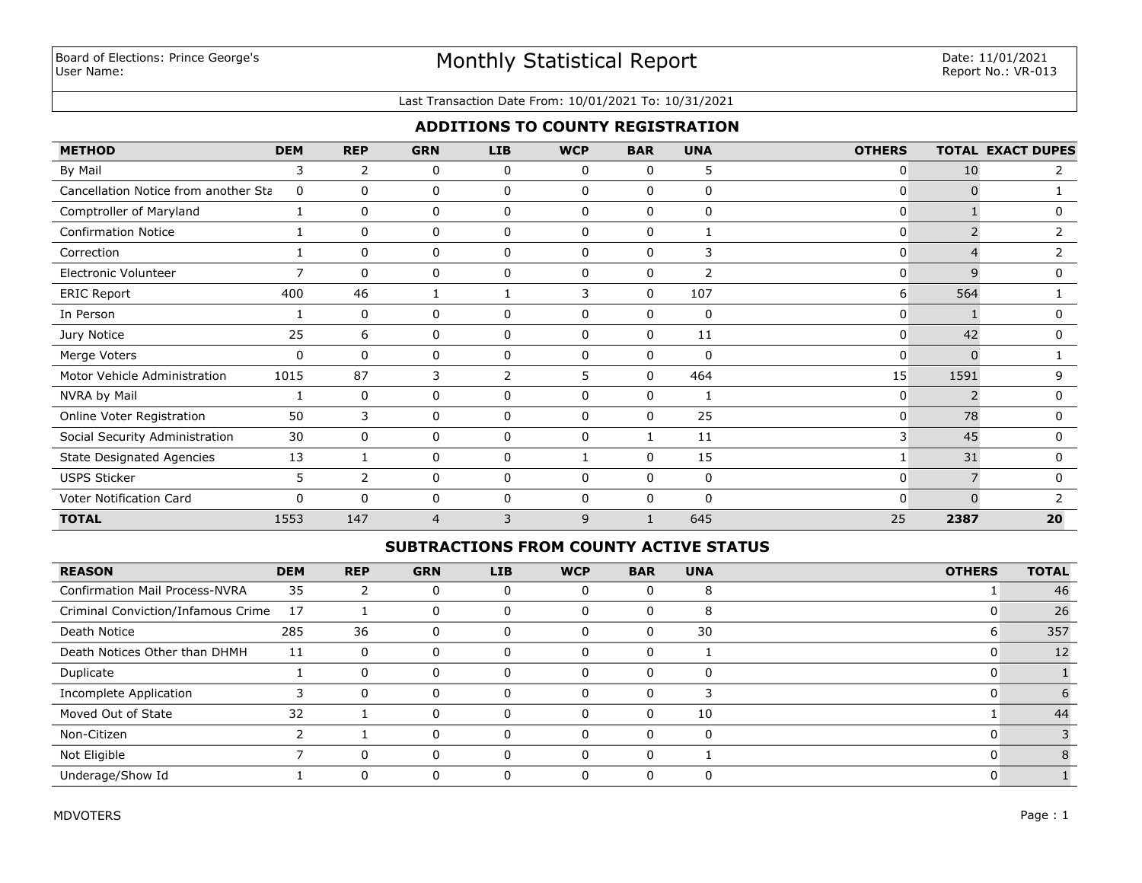#### Last Transaction Date From: 10/01/2021 To: 10/31/2021

# **ADDITIONS TO COUNTY REGISTRATION**

| <b>METHOD</b>                        | <b>DEM</b>     | <b>REP</b>     | <b>GRN</b> | <b>LIB</b>   | <b>WCP</b>   | <b>BAR</b>   | <b>UNA</b>   | <b>OTHERS</b> |          | <b>TOTAL EXACT DUPES</b> |
|--------------------------------------|----------------|----------------|------------|--------------|--------------|--------------|--------------|---------------|----------|--------------------------|
| By Mail                              | 3              | 2              | 0          | 0            | 0            | 0            | 5            | 0             | 10       | 2                        |
| Cancellation Notice from another Sta | 0              | $\mathbf{0}$   | 0          | $\Omega$     | $\mathbf{0}$ | $\mathbf{0}$ | 0            | $\Omega$      | $\Omega$ |                          |
| Comptroller of Maryland              | 1              | 0              | 0          | 0            | 0            | $\mathbf 0$  | $\mathbf 0$  | $\mathbf{0}$  |          | 0                        |
| <b>Confirmation Notice</b>           |                | $\mathbf{0}$   | $\Omega$   | $\mathbf 0$  | $\Omega$     | $\mathbf 0$  |              | $\mathbf{0}$  |          | 2                        |
| Correction                           |                | 0              | 0          | 0            | 0            | 0            | 3            | 0             |          |                          |
| Electronic Volunteer                 | $\overline{7}$ | 0              | 0          | 0            | 0            | 0            | 2            | 0             | 9        |                          |
| <b>ERIC Report</b>                   | 400            | 46             |            |              | 3            | 0            | 107          | 6             | 564      |                          |
| In Person                            |                | 0              | 0          | 0            | 0            | 0            | 0            | $\mathbf{0}$  |          |                          |
| Jury Notice                          | 25             | 6              | 0          | 0            | 0            | 0            | 11           | $\mathbf{0}$  | 42       |                          |
| Merge Voters                         | 0              | $\Omega$       | 0          | $\mathbf{0}$ | $\mathbf{0}$ | $\mathbf 0$  | $\mathbf{0}$ | 0             | $\Omega$ |                          |
| Motor Vehicle Administration         | 1015           | 87             | 3          | 2            | 5            | 0            | 464          | 15            | 1591     | 9                        |
| NVRA by Mail                         |                | $\mathbf{0}$   | 0          | $\mathbf{0}$ | $\mathbf{0}$ | 0            |              | $\mathbf{0}$  |          | 0                        |
| Online Voter Registration            | 50             | 3              | 0          | 0            | $\mathbf{0}$ | $\mathbf{0}$ | 25           | $\mathbf{0}$  | 78       | 0                        |
| Social Security Administration       | 30             | 0              | 0          | 0            | $\mathbf{0}$ | $\mathbf{1}$ | 11           | 3             | 45       | 0                        |
| <b>State Designated Agencies</b>     | 13             |                | 0          | 0            |              | $\mathbf 0$  | 15           |               | 31       | 0                        |
| <b>USPS Sticker</b>                  | 5              | $\overline{2}$ | 0          | 0            | $\mathbf{0}$ | 0            | 0            | 0             |          | 0                        |
| Voter Notification Card              | $\Omega$       | $\Omega$       | $\Omega$   | 0            | $\mathbf{0}$ | $\Omega$     | $\Omega$     | 0             | $\Omega$ |                          |
| <b>TOTAL</b>                         | 1553           | 147            | 4          | 3            | 9            |              | 645          | 25            | 2387     | 20                       |

#### **SUBTRACTIONS FROM COUNTY ACTIVE STATUS**

| <b>REASON</b>                         | <b>DEM</b> | <b>REP</b> | <b>GRN</b> | <b>LIB</b> | <b>WCP</b> | <b>BAR</b> | <b>UNA</b> | <b>OTHERS</b> | <b>TOTAL</b> |
|---------------------------------------|------------|------------|------------|------------|------------|------------|------------|---------------|--------------|
| <b>Confirmation Mail Process-NVRA</b> | 35         | 2          |            | O          |            |            | 8          |               | 46           |
| Criminal Conviction/Infamous Crime    | 17         |            |            | 0          | 0          | 0          | 8          |               | 26           |
| Death Notice                          | 285        | 36         | $\Omega$   | 0          | $\Omega$   | 0          | 30         |               | 357          |
| Death Notices Other than DHMH         | 11         | 0          |            | 0          | $\Omega$   |            |            |               | 12           |
| Duplicate                             |            | 0          | $\Omega$   | 0          | $\Omega$   | 0          | 0          |               |              |
| Incomplete Application                |            | $\Omega$   |            |            |            |            |            |               |              |
| Moved Out of State                    | 32         |            |            | 0          | $\Omega$   |            | 10         |               | 44           |
| Non-Citizen                           |            |            |            | $\Omega$   | $\Omega$   |            | 0          |               |              |
| Not Eligible                          |            | 0          |            | 0          | $\Omega$   |            |            |               |              |
| Underage/Show Id                      |            | 0          |            | 0          | $\Omega$   |            | 0          |               |              |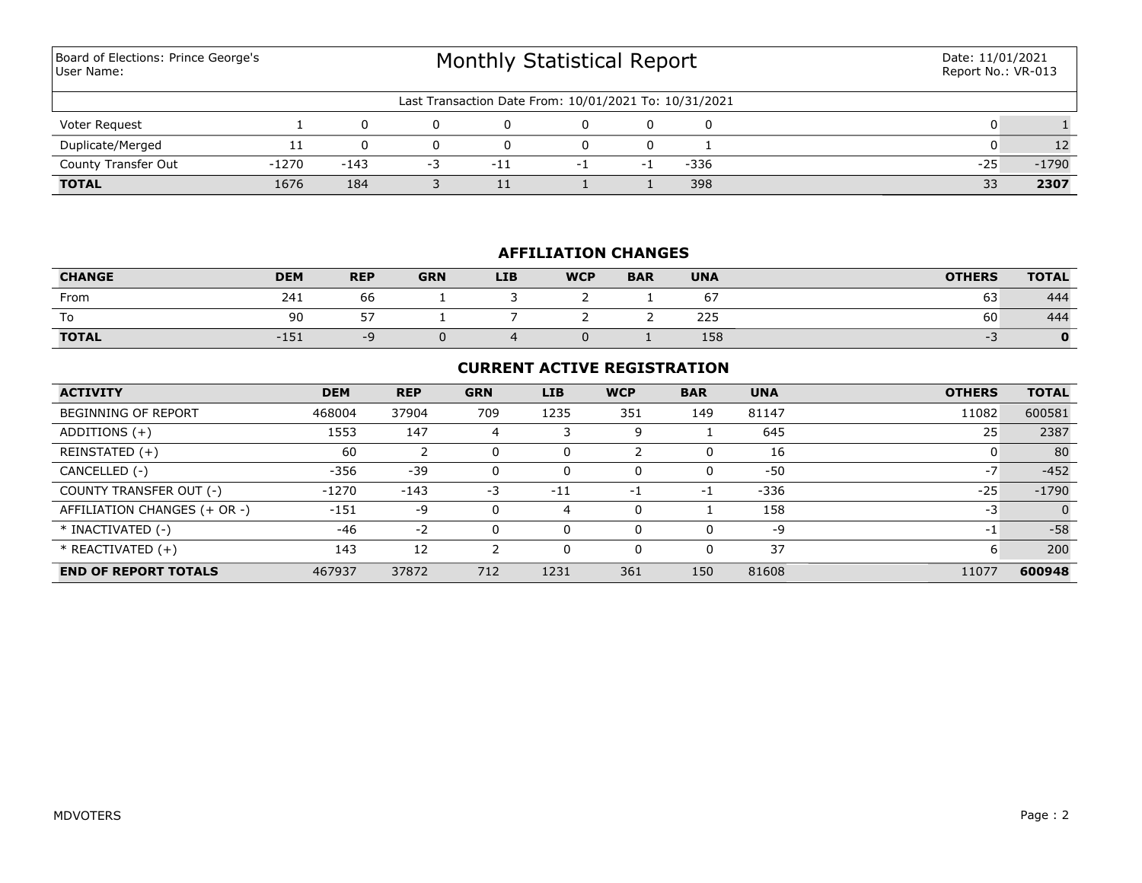Monthly Statistical Report Last Transaction Date From: 10/01/2021 To: 10/31/2021 Board of Elections: Prince George's User Name: Date: 11/01/2021 Report No.: VR-013 Voter Request 1 0 0 0 0 0 0 0 1 **TOTAL** 1676 184 3 11 1 1 398 33 **2307** County Transfer Out -1270 -143 -3 -11 -1 -1 -336 -25 -1790 Duplicate/Merged 11 0 0 0 0 0 1 0 12

## **AFFILIATION CHANGES**

| <b>CHANGE</b> | <b>DEM</b> | <b>REP</b>    | <b>GRN</b> | <b>LIB</b> | <b>WCP</b> | <b>BAR</b> | <b>UNA</b> | <b>OTHERS</b> | <b>TOTAL</b> |
|---------------|------------|---------------|------------|------------|------------|------------|------------|---------------|--------------|
| From          | 241        | $\sim$<br>.66 |            |            |            |            | 67         | 63            | 444          |
| To            | 90         | ドフ<br>ັ       |            |            |            |            | 225        | 60            | 444          |
| <b>TOTAL</b>  | $-151$     | -9            |            |            |            |            | 158        |               |              |

# **CURRENT ACTIVE REGISTRATION**

| <b>ACTIVITY</b>              | <b>DEM</b> | <b>REP</b> | <b>GRN</b> | <b>LIB</b> | <b>WCP</b> | <b>BAR</b> | <b>UNA</b> | <b>OTHERS</b> | <b>TOTAL</b> |
|------------------------------|------------|------------|------------|------------|------------|------------|------------|---------------|--------------|
| <b>BEGINNING OF REPORT</b>   | 468004     | 37904      | 709        | 1235       | 351        | 149        | 81147      | 11082         | 600581       |
| ADDITIONS $(+)$              | 1553       | 147        | 4          | 3          | 9          |            | 645        | 25            | 2387         |
| REINSTATED (+)               | 60         |            | 0          | 0          |            |            | 16         |               | 80           |
| CANCELLED (-)                | -356       | $-39$      | 0          | 0          | 0          |            | $-50$      | $-7$          | $-452$       |
| COUNTY TRANSFER OUT (-)      | $-1270$    | $-143$     | $-3$       | $-11$      | $-1$       | -1         | $-336$     | $-25$         | $-1790$      |
| AFFILIATION CHANGES (+ OR -) | $-151$     | -9         | 0          | 4          | 0          |            | 158        | -3            | $\Omega$     |
| * INACTIVATED (-)            | $-46$      | $-2$       | 0          | 0          | $\Omega$   |            | -9         | -1            | $-58$        |
| $*$ REACTIVATED $(+)$        | 143        | 12         |            |            | 0          |            | 37         | ь             | 200          |
| <b>END OF REPORT TOTALS</b>  | 467937     | 37872      | 712        | 1231       | 361        | 150        | 81608      | 11077         | 600948       |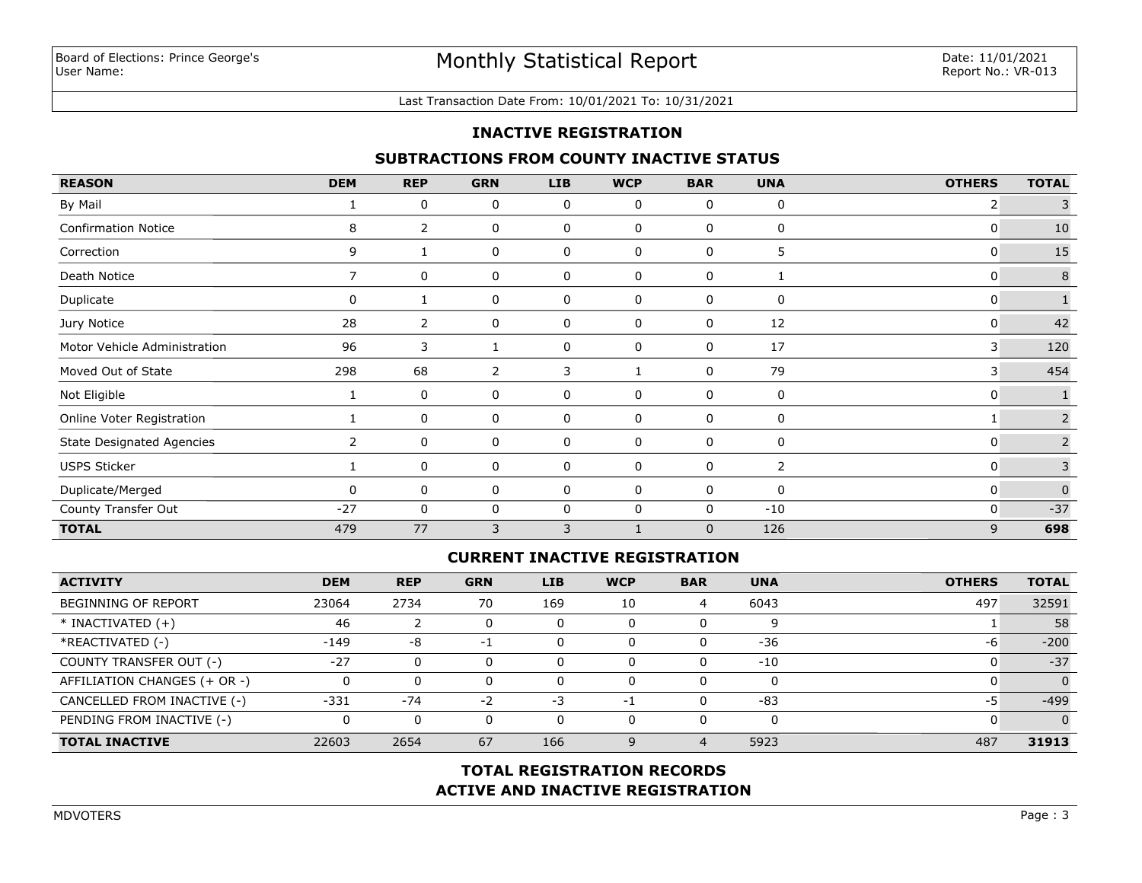#### Last Transaction Date From: 10/01/2021 To: 10/31/2021

#### **INACTIVE REGISTRATION**

### **SUBTRACTIONS FROM COUNTY INACTIVE STATUS**

| <b>REASON</b>                    | <b>DEM</b>     | <b>REP</b>     | <b>GRN</b> | <b>LIB</b> | <b>WCP</b>   | <b>BAR</b>   | <b>UNA</b> | <b>OTHERS</b> | <b>TOTAL</b>   |
|----------------------------------|----------------|----------------|------------|------------|--------------|--------------|------------|---------------|----------------|
| By Mail                          |                | 0              | 0          | 0          | 0            | 0            | 0          | 2             | 3              |
| <b>Confirmation Notice</b>       | 8              | $\overline{2}$ | 0          | 0          | 0            | 0            | 0          | 0             | 10             |
| Correction                       | 9              |                | 0          | 0          | $\mathbf 0$  | 0            | 5          | 0             | 15             |
| Death Notice                     | $\overline{7}$ | 0              | 0          | 0          | $\mathbf 0$  | $\mathbf{0}$ |            | 0             | $\,8\,$        |
| Duplicate                        | 0              |                | 0          | 0          | 0            | 0            | 0          | 0             |                |
| Jury Notice                      | 28             | 2              | 0          | 0          | 0            | 0            | 12         | 0             | 42             |
| Motor Vehicle Administration     | 96             | 3              |            | 0          | 0            | 0            | 17         | 3             | 120            |
| Moved Out of State               | 298            | 68             | 2          | 3          | $\mathbf{1}$ | 0            | 79         | 3             | 454            |
| Not Eligible                     |                | 0              | 0          | 0          | 0            | 0            | 0          | 0             |                |
| Online Voter Registration        |                | 0              | 0          | 0          | $\mathbf 0$  | $\Omega$     | 0          |               | $\overline{2}$ |
| <b>State Designated Agencies</b> | $\overline{2}$ | 0              | 0          | 0          | 0            | 0            | 0          | 0             | $\overline{2}$ |
| <b>USPS Sticker</b>              |                | 0              | 0          | 0          | 0            | 0            | 2          | 0             | 3              |
| Duplicate/Merged                 |                | 0              | 0          | 0          | 0            | 0            | 0          | 0             | $\overline{0}$ |
| County Transfer Out              | $-27$          | 0              | 0          | 0          | $\Omega$     | 0            | $-10$      | 0             | $-37$          |
| <b>TOTAL</b>                     | 479            | 77             | 3          | 3          | $\mathbf{1}$ | $\mathbf{0}$ | 126        | 9             | 698            |

# **CURRENT INACTIVE REGISTRATION**

| <b>ACTIVITY</b>              | <b>DEM</b> | <b>REP</b> | <b>GRN</b> | <b>LIB</b> | <b>WCP</b> | <b>BAR</b> | <b>UNA</b> | <b>OTHERS</b> | <b>TOTAL</b>   |
|------------------------------|------------|------------|------------|------------|------------|------------|------------|---------------|----------------|
| <b>BEGINNING OF REPORT</b>   | 23064      | 2734       | 70         | 169        | 10         | 4          | 6043       | 497           | 32591          |
| $*$ INACTIVATED $(+)$        | 46         |            |            | 0          | 0          |            | q          |               | 58             |
| *REACTIVATED (-)             | $-149$     | -8         | -1         | 0          | 0          |            | $-36$      | -6            | $-200$         |
| COUNTY TRANSFER OUT (-)      | $-27$      |            |            | 0          | 0          |            | $-10$      |               | $-37$          |
| AFFILIATION CHANGES (+ OR -) |            |            |            | 0          | $\Omega$   |            |            |               | $\overline{0}$ |
| CANCELLED FROM INACTIVE (-)  | $-331$     | $-74$      | $-2$       | -3         | -1         |            | $-83$      | -5            | $-499$         |
| PENDING FROM INACTIVE (-)    |            |            |            | 0          | $\Omega$   |            |            |               | $\Omega$       |
| <b>TOTAL INACTIVE</b>        | 22603      | 2654       | 67         | 166        | 9          |            | 5923       | 487           | 31913          |

# **ACTIVE AND INACTIVE REGISTRATION TOTAL REGISTRATION RECORDS**